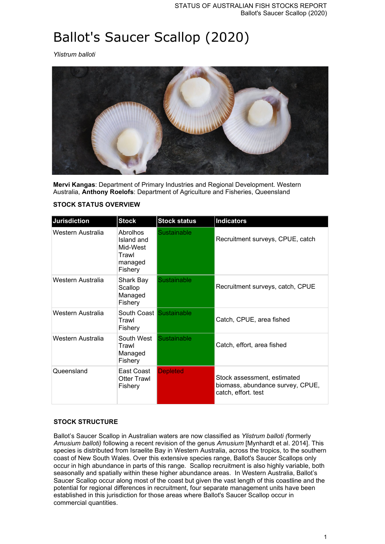# Ballot's Saucer Scallop (2020)

*Ylistrum balloti*



**Mervi Kangas**: Department of Primary Industries and Regional Development. Western Australia, **Anthony Roelofs**: Department of Agriculture and Fisheries, Queensland

| <b>Jurisdiction</b> | <b>Stock</b>                                                      | <b>Stock status</b> | <b>Indicators</b>                                                                      |
|---------------------|-------------------------------------------------------------------|---------------------|----------------------------------------------------------------------------------------|
| Western Australia   | Abrolhos<br>Island and<br>Mid-West<br>Trawl<br>managed<br>Fishery | Sustainable         | Recruitment surveys, CPUE, catch                                                       |
| Western Australia   | Shark Bay<br>Scallop<br>Managed<br>Fishery                        | <b>Sustainable</b>  | Recruitment surveys, catch, CPUE                                                       |
| Western Australia   | South Coast Sustainable<br>Trawl<br>Fishery                       |                     | Catch, CPUE, area fished                                                               |
| Western Australia   | South West<br>Trawl<br>Managed<br>Fishery                         | Sustainable         | Catch, effort, area fished                                                             |
| Queensland          | East Coast<br><b>Otter Trawl</b><br>Fishery                       | <b>Depleted</b>     | Stock assessment, estimated<br>biomass, abundance survey, CPUE,<br>catch, effort. test |

# **STOCK STATUS OVERVIEW**

# **STOCK STRUCTURE**

Ballot's Saucer Scallop in Australian waters are now classified as *Ylistrum balloti (*formerly *Amusium balloti)* following a recent revision of the genus *Amusium* [Mynhardt et al. 2014]. This species is distributed from Israelite Bay in Western Australia, across the tropics, to the southern coast of New South Wales. Over this extensive species range, Ballot's Saucer Scallops only occur in high abundance in parts of this range. Scallop recruitment is also highly variable, both seasonally and spatially within these higher abundance areas. In Western Australia, Ballot's Saucer Scallop occur along most of the coast but given the vast length of this coastline and the potential for regional differences in recruitment, four separate management units have been established in this jurisdiction for those areas where Ballot's Saucer Scallop occur in commercial quantities.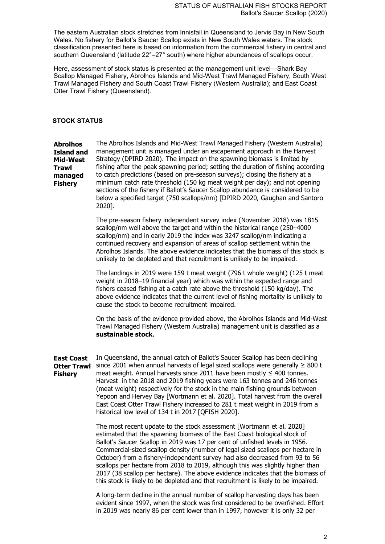The eastern Australian stock stretches from Innisfail in Queensland to Jervis Bay in New South Wales. No fishery for Ballot's Saucer Scallop exists in New South Wales waters. The stock classification presented here is based on information from the commercial fishery in central and southern Queensland (latitude 22°–27° south) where higher abundances of scallops occur.

Here, assessment of stock status is presented at the management unit level—Shark Bay Scallop Managed Fishery, Abrolhos Islands and Mid-West Trawl Managed Fishery, South West Trawl Managed Fishery and South Coast Trawl Fishery (Western Australia); and East Coast Otter Trawl Fishery (Queensland).

#### **STOCK STATUS**

**Abrolhos Island and Mid-West Trawl managed Fishery** The Abrolhos Islands and Mid-West Trawl Managed Fishery (Western Australia) management unit is managed under an escapement approach in the Harvest Strategy (DPIRD 2020). The impact on the spawning biomass is limited by fishing after the peak spawning period; setting the duration of fishing according to catch predictions (based on pre-season surveys); closing the fishery at a minimum catch rate threshold (150 kg meat weight per day); and not opening sections of the fishery if Ballot's Saucer Scallop abundance is considered to be below a specified target (750 scallops/nm) [DPIRD 2020, Gaughan and Santoro 2020].

> The pre-season fishery independent survey index (November 2018) was 1815 scallop/nm well above the target and within the historical range (250–4000 scallop/nm) and in early 2019 the index was 3247 scallop/nm indicating a continued recovery and expansion of areas of scallop settlement within the Abrolhos Islands. The above evidence indicates that the biomass of this stock is unlikely to be depleted and that recruitment is unlikely to be impaired.

> The landings in 2019 were 159 t meat weight (796 t whole weight) (125 t meat weight in 2018–19 financial year) which was within the expected range and fishers ceased fishing at a catch rate above the threshold (150 kg/day). The above evidence indicates that the current level of fishing mortality is unlikely to cause the stock to become recruitment impaired.

On the basis of the evidence provided above, the Abrolhos Islands and Mid-West Trawl Managed Fishery (Western Australia) management unit is classified as a **sustainable stock**.

**East Coast Otter Trawl** since 2001 when annual harvests of legal sized scallops were generally ≥ 800 t **Fishery** In Queensland, the annual catch of Ballot's Saucer Scallop has been declining meat weight. Annual harvests since 2011 have been mostly  $\leq 400$  tonnes. Harvest in the 2018 and 2019 fishing years were 163 tonnes and 246 tonnes (meat weight) respectively for the stock in the main fishing grounds between Yepoon and Hervey Bay [Wortmann et al. 2020]. Total harvest from the overall East Coast Otter Trawl Fishery increased to 281 t meat weight in 2019 from a historical low level of 134 t in 2017 [QFISH 2020].

> The most recent update to the stock assessment [Wortmann et al. 2020] estimated that the spawning biomass of the East Coast biological stock of Ballot's Saucer Scallop in 2019 was 17 per cent of unfished levels in 1956. Commercial-sized scallop density (number of legal sized scallops per hectare in October) from a fishery-independent survey had also decreased from 93 to 56 scallops per hectare from 2018 to 2019, although this was slightly higher than 2017 (38 scallop per hectare). The above evidence indicates that the biomass of this stock is likely to be depleted and that recruitment is likely to be impaired.

> A long-term decline in the annual number of scallop harvesting days has been evident since 1997, when the stock was first considered to be overfished. Effort in 2019 was nearly 86 per cent lower than in 1997, however it is only 32 per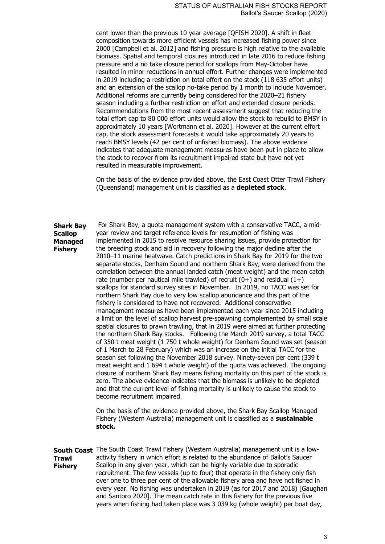cent lower than the previous 10 year average [QFISH 2020]. A shift in fleet composition towards more efficient vessels has increased fishing power since 2000 [Campbell et al. 2012] and fishing pressure is high relative to the available biomass. Spatial and temporal closures introduced in late 2016 to reduce fishing pressure and a no take closure period for scallops from May-October have resulted in minor reductions in annual effort. Further changes were implemented in 2019 including a restriction on total effort on the stock (118 635 effort units) and an extension of the scallop no-take period by 1 month to include November. Additional reforms are currently being considered for the 2020–21 fishery season including a further restriction on effort and extended closure periods. Recommendations from the most recent assessment suggest that reducing the total effort cap to 80 000 effort units would allow the stock to rebuild to BMSY in approximately 10 years [Wortmann et al. 2020]. However at the current effort cap, the stock assessment forecasts it would take approximately 20 years to reach BMSY levels (42 per cent of unfished biomass). The above evidence indicates that adequate management measures have been put in place to allow the stock to recover from its recruitment impaired state but have not yet resulted in measurable improvement.

On the basis of the evidence provided above, the East Coast Otter Trawl Fishery (Queensland) management unit is classified as a **depleted stock**.

**Shark Bay Scallop Managed Fishery** For Shark Bay, a quota management system with a conservative TACC, a midyear review and target reference levels for resumption of fishing was implemented in 2015 to resolve resource sharing issues, provide protection for the breeding stock and aid in recovery following the major decline after the 2010–11 marine heatwave. Catch predictions in Shark Bay for 2019 for the two separate stocks, Denham Sound and northern Shark Bay, were derived from the correlation between the annual landed catch (meat weight) and the mean catch rate (number per nautical mile trawled) of recruit  $(0+)$  and residual  $(1+)$ scallops for standard survey sites in November. In 2019, no TACC was set for northern Shark Bay due to very low scallop abundance and this part of the fishery is considered to have not recovered. Additional conservative management measures have been implemented each year since 2015 including a limit on the level of scallop harvest pre-spawning complemented by small scale spatial closures to prawn trawling, that in 2019 were aimed at further protecting the northern Shark Bay stocks. Following the March 2019 survey, a total TACC of 350 t meat weight (1 750 t whole weight) for Denham Sound was set (season of 1 March to 28 February) which was an increase on the initial TACC for the season set following the November 2018 survey. Ninety-seven per cent (339 t meat weight and 1 694 t whole weight) of the quota was achieved. The ongoing closure of northern Shark Bay means fishing mortality on this part of the stock is zero. The above evidence indicates that the biomass is unlikely to be depleted and that the current level of fishing mortality is unlikely to cause the stock to become recruitment impaired.

> On the basis of the evidence provided above, the Shark Bay Scallop Managed Fishery (Western Australia) management unit is classified as a **sustainable stock.**

**South Coast**  The South Coast Trawl Fishery (Western Australia) management unit is a low-**Trawl Fishery** activity fishery in which effort is related to the abundance of Ballot's Saucer Scallop in any given year, which can be highly variable due to sporadic recruitment. The few vessels (up to four) that operate in the fishery only fish over one to three per cent of the allowable fishery area and have not fished in every year. No fishing was undertaken in 2019 (as for 2017 and 2018) [Gaughan and Santoro 2020]. The mean catch rate in this fishery for the previous five years when fishing had taken place was 3 039 kg (whole weight) per boat day,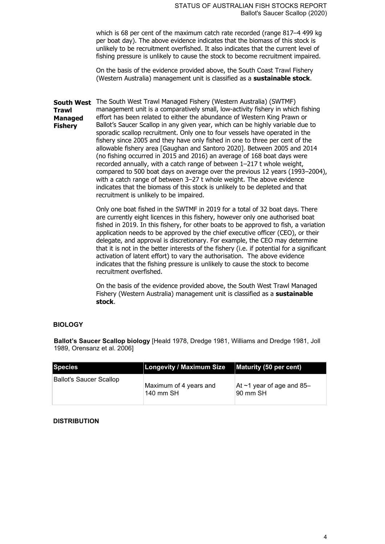which is 68 per cent of the maximum catch rate recorded (range 817–4 499 kg per boat day). The above evidence indicates that the biomass of this stock is unlikely to be recruitment overfished. It also indicates that the current level of fishing pressure is unlikely to cause the stock to become recruitment impaired.

On the basis of the evidence provided above, the South Coast Trawl Fishery (Western Australia) management unit is classified as a **sustainable stock**.

**South West**  The South West Trawl Managed Fishery (Western Australia) (SWTMF) **Trawl Managed Fishery** management unit is a comparatively small, low-activity fishery in which fishing effort has been related to either the abundance of Western King Prawn or Ballot's Saucer Scallop in any given year, which can be highly variable due to sporadic scallop recruitment. Only one to four vessels have operated in the fishery since 2005 and they have only fished in one to three per cent of the allowable fishery area [Gaughan and Santoro 2020]. Between 2005 and 2014 (no fishing occurred in 2015 and 2016) an average of 168 boat days were recorded annually, with a catch range of between 1–217 t whole weight, compared to 500 boat days on average over the previous 12 years (1993–2004), with a catch range of between 3–27 t whole weight. The above evidence indicates that the biomass of this stock is unlikely to be depleted and that recruitment is unlikely to be impaired.

> Only one boat fished in the SWTMF in 2019 for a total of 32 boat days. There are currently eight licences in this fishery, however only one authorised boat fished in 2019. In this fishery, for other boats to be approved to fish, a variation application needs to be approved by the chief executive officer (CEO), or their delegate, and approval is discretionary. For example, the CEO may determine that it is not in the better interests of the fishery (i.e. if potential for a significant activation of latent effort) to vary the authorisation. The above evidence indicates that the fishing pressure is unlikely to cause the stock to become recruitment overfished.

On the basis of the evidence provided above, the South West Trawl Managed Fishery (Western Australia) management unit is classified as a **sustainable stock**.

# **BIOLOGY**

**Ballot's Saucer Scallop biology** [Heald 1978, Dredge 1981, Williams and Dredge 1981, Joll 1989, Orensanz et al. 2006]

| <b>Species</b>          | <b>Longevity / Maximum Size</b>     | Maturity (50 per cent)                      |
|-------------------------|-------------------------------------|---------------------------------------------|
| Ballot's Saucer Scallop | Maximum of 4 years and<br>140 mm SH | At $\sim$ 1 year of age and 85–<br>90 mm SH |

#### **DISTRIBUTION**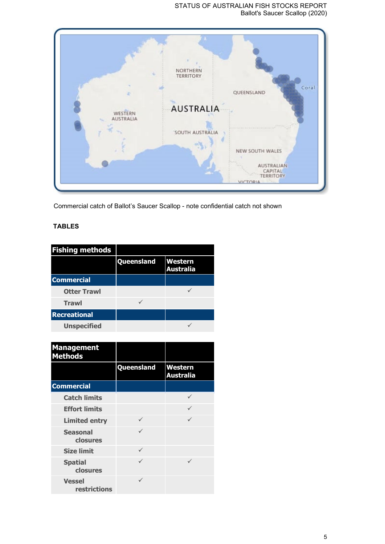# STATUS OF AUSTRALIAN FISH STOCKS REPORT Ballot's Saucer Scallop (2020)



Commercial catch of Ballot's Saucer Scallop - note confidential catch not shown

# **TABLES**

| <b>Fishing methods</b> |            |                                    |
|------------------------|------------|------------------------------------|
|                        | Queensland | <b>Western</b><br><b>Australia</b> |
| <b>Commercial</b>      |            |                                    |
| <b>Otter Trawl</b>     |            |                                    |
| <b>Trawl</b>           |            |                                    |
| <b>Recreational</b>    |            |                                    |
| <b>Unspecified</b>     |            |                                    |

| <b>Management</b><br><b>Methods</b> |            |                                    |
|-------------------------------------|------------|------------------------------------|
|                                     | Queensland | <b>Western</b><br><b>Australia</b> |
| <b>Commercial</b>                   |            |                                    |
| <b>Catch limits</b>                 |            |                                    |
| <b>Effort limits</b>                |            |                                    |
| <b>Limited entry</b>                |            |                                    |
| <b>Seasonal</b><br>closures         |            |                                    |
| <b>Size limit</b>                   |            |                                    |
| <b>Spatial</b><br>closures          |            | ✓                                  |
| <b>Vessel</b><br>restrictions       |            |                                    |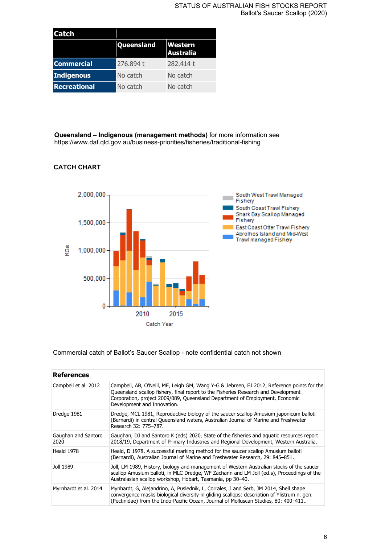#### STATUS OF AUSTRALIAN FISH STOCKS REPORT Ballot's Saucer Scallop (2020)

| <b>Catch</b>        |            |                                    |
|---------------------|------------|------------------------------------|
|                     | Queensland | <b>Western</b><br><b>Australia</b> |
| <b>Commercial</b>   | 276.894 t  | 282.414 t                          |
| Indigenous          | No catch   | No catch                           |
| <b>Recreational</b> | No catch   | No catch                           |

**Queensland – Indigenous (management methods)** for more information see https://www.daf.qld.gov.au/business-priorities/fisheries/traditional-fishing

# **CATCH CHART**



Commercial catch of Ballot's Saucer Scallop - note confidential catch not shown

| <b>References</b>           |                                                                                                                                                                                                                                                                                                 |
|-----------------------------|-------------------------------------------------------------------------------------------------------------------------------------------------------------------------------------------------------------------------------------------------------------------------------------------------|
| Campbell et al. 2012        | Campbell, AB, O'Neill, MF, Leigh GM, Wang Y-G & Jebreen, EJ 2012, Reference points for the<br>Queensland scallop fishery, final report to the Fisheries Research and Development<br>Corporation, project 2009/089, Queensland Department of Employment, Economic<br>Development and Innovation. |
| Dredge 1981                 | Dredge, MCL 1981, Reproductive biology of the saucer scallop Amusium japonicum balloti<br>(Bernardi) in central Queensland waters, Australian Journal of Marine and Freshwater<br>Research 32: 775-787.                                                                                         |
| Gaughan and Santoro<br>2020 | Gaughan, DJ and Santoro K (eds) 2020, State of the fisheries and aquatic resources report<br>2018/19, Department of Primary Industries and Regional Development, Western Australia.                                                                                                             |
| Heald 1978                  | Heald, D 1978, A successful marking method for the saucer scallop Amusium balloti<br>(Bernardi), Australian Journal of Marine and Freshwater Research, 29: 845–851.                                                                                                                             |
| Joll 1989                   | Joll, LM 1989, History, biology and management of Western Australian stocks of the saucer<br>scallop Amusium balloti, in MLC Dredge, WF Zacharin and LM Joll (ed.s), Proceedings of the<br>Australasian scallop workshop, Hobart, Tasmania, pp 30-40.                                           |
| Myrnhardt et al. 2014       | Mynhardt, G, Alejandrino, A, Puslednik, L, Corrales, J and Serb, JM 2014, Shell shape<br>convergence masks biological diversity in gliding scallops: description of Ylistrum n. gen.<br>(Pectinidae) from the Indo-Pacific Ocean, Journal of Molluscan Studies, 80: 400-411                     |